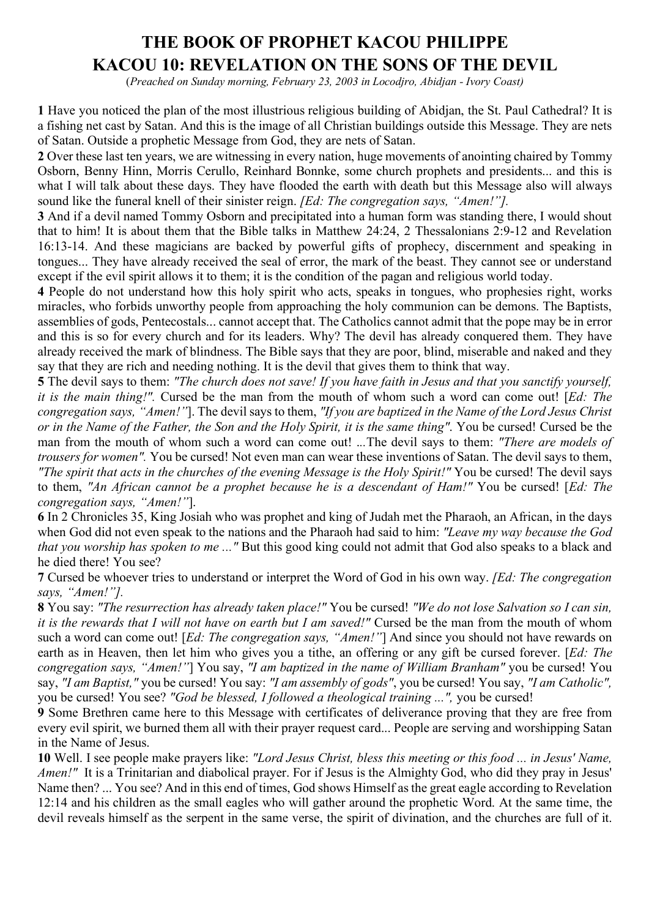# **THE BOOK OF PROPHET KACOU PHILIPPE KACOU 10: REVELATION ON THE SONS OF THE DEVIL**

(*Preached on Sunday morning, February 23, 2003 in Locodjro, Abidjan - Ivory Coast)*

**1** Have you noticed the plan of the most illustrious religious building of Abidjan, the St. Paul Cathedral? It is a fishing net cast by Satan. And this is the image of all Christian buildings outside this Message. They are nets of Satan. Outside a prophetic Message from God, they are nets of Satan.

**2** Over these last ten years, we are witnessing in every nation, huge movements of anointing chaired by Tommy Osborn, Benny Hinn, Morris Cerullo, Reinhard Bonnke, some church prophets and presidents... and this is what I will talk about these days. They have flooded the earth with death but this Message also will always sound like the funeral knell of their sinister reign. *[Ed: The congregation says, "Amen!"].*

**3** And if a devil named Tommy Osborn and precipitated into a human form was standing there, I would shout that to him! It is about them that the Bible talks in Matthew 24:24, 2 Thessalonians 2:9-12 and Revelation 16:13-14. And these magicians are backed by powerful gifts of prophecy, discernment and speaking in tongues... They have already received the seal of error, the mark of the beast. They cannot see or understand except if the evil spirit allows it to them; it is the condition of the pagan and religious world today.

**4** People do not understand how this holy spirit who acts, speaks in tongues, who prophesies right, works miracles, who forbids unworthy people from approaching the holy communion can be demons. The Baptists, assemblies of gods, Pentecostals... cannot accept that. The Catholics cannot admit that the pope may be in error and this is so for every church and for its leaders. Why? The devil has already conquered them. They have already received the mark of blindness. The Bible says that they are poor, blind, miserable and naked and they say that they are rich and needing nothing. It is the devil that gives them to think that way.

**5** The devil says to them: *"The church does not save! If you have faith in Jesus and that you sanctify yourself, it is the main thing!".* Cursed be the man from the mouth of whom such a word can come out! [*Ed: The congregation says, "Amen!"*]. The devil says to them, *"If you are baptized in the Name of the Lord Jesus Christ or in the Name of the Father, the Son and the Holy Spirit, it is the same thing"*. You be cursed! Cursed be the man from the mouth of whom such a word can come out! .*..*The devil says to them: *"There are models of trousers for women".* You be cursed! Not even man can wear these inventions of Satan. The devil says to them, *"The spirit that acts in the churches of the evening Message is the Holy Spirit!"* You be cursed! The devil says to them, *"An African cannot be a prophet because he is a descendant of Ham!"* You be cursed! [*Ed: The congregation says, "Amen!"*].

**6** In 2 Chronicles 35, King Josiah who was prophet and king of Judah met the Pharaoh, an African, in the days when God did not even speak to the nations and the Pharaoh had said to him: *"Leave my way because the God that you worship has spoken to me ..."* But this good king could not admit that God also speaks to a black and he died there! You see?

**7** Cursed be whoever tries to understand or interpret the Word of God in his own way. *[Ed: The congregation says, "Amen!"].*

**8** You say: *"The resurrection has already taken place!"* You be cursed! *"We do not lose Salvation so I can sin, it is the rewards that I will not have on earth but I am saved!"* Cursed be the man from the mouth of whom such a word can come out! [*Ed: The congregation says, "Amen!"*] And since you should not have rewards on earth as in Heaven, then let him who gives you a tithe, an offering or any gift be cursed forever. [*Ed: The congregation says, "Amen!"*] You say, *"I am baptized in the name of William Branham"* you be cursed! You say, *"I am Baptist,"* you be cursed! You say: *"I am assembly of gods"*, you be cursed! You say, *"I am Catholic",* you be cursed! You see? *"God be blessed, I followed a theological training ...",* you be cursed!

**9** Some Brethren came here to this Message with certificates of deliverance proving that they are free from every evil spirit, we burned them all with their prayer request card... People are serving and worshipping Satan in the Name of Jesus.

**10** Well. I see people make prayers like: *"Lord Jesus Christ, bless this meeting or this food ... in Jesus' Name, Amen!"* It is a Trinitarian and diabolical prayer. For if Jesus is the Almighty God, who did they pray in Jesus' Name then? ... You see? And in this end of times, God shows Himself as the great eagle according to Revelation 12:14 and his children as the small eagles who will gather around the prophetic Word. At the same time, the devil reveals himself as the serpent in the same verse, the spirit of divination, and the churches are full of it.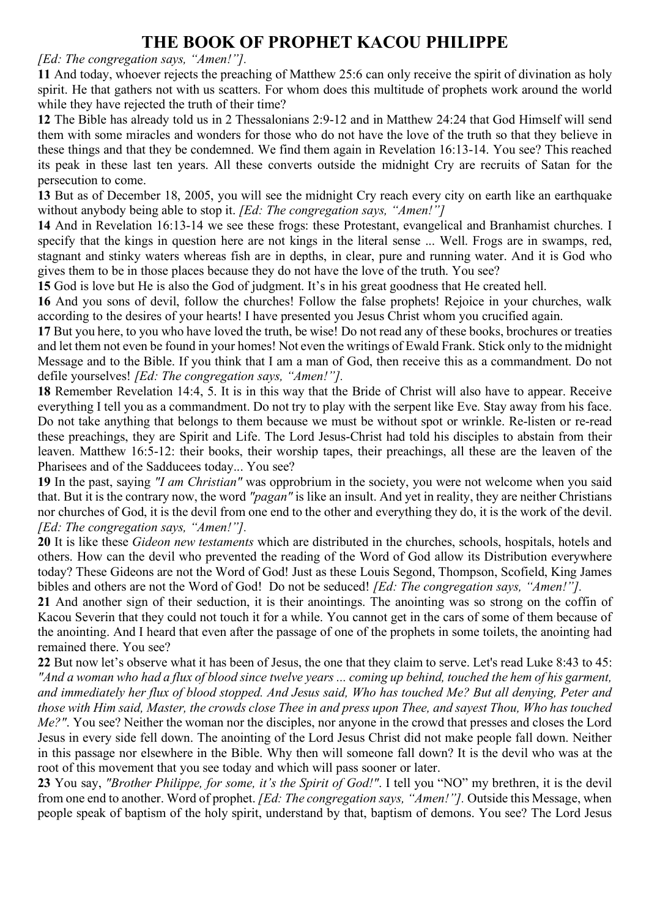*[Ed: The congregation says, "Amen!"].*

**11** And today, whoever rejects the preaching of Matthew 25:6 can only receive the spirit of divination as holy spirit. He that gathers not with us scatters. For whom does this multitude of prophets work around the world while they have rejected the truth of their time?

**12** The Bible has already told us in 2 Thessalonians 2:9-12 and in Matthew 24:24 that God Himself will send them with some miracles and wonders for those who do not have the love of the truth so that they believe in these things and that they be condemned. We find them again in Revelation 16:13-14. You see? This reached its peak in these last ten years. All these converts outside the midnight Cry are recruits of Satan for the persecution to come.

**13** But as of December 18, 2005, you will see the midnight Cry reach every city on earth like an earthquake without anybody being able to stop it. *[Ed: The congregation says, "Amen!"]*

**14** And in Revelation 16:13-14 we see these frogs: these Protestant, evangelical and Branhamist churches. I specify that the kings in question here are not kings in the literal sense ... Well. Frogs are in swamps, red, stagnant and stinky waters whereas fish are in depths, in clear, pure and running water. And it is God who gives them to be in those places because they do not have the love of the truth. You see?

**15** God is love but He is also the God of judgment. It's in his great goodness that He created hell.

**16** And you sons of devil, follow the churches! Follow the false prophets! Rejoice in your churches, walk according to the desires of your hearts! I have presented you Jesus Christ whom you crucified again.

**17** But you here, to you who have loved the truth, be wise! Do not read any of these books, brochures or treaties and let them not even be found in your homes! Not even the writings of Ewald Frank. Stick only to the midnight Message and to the Bible. If you think that I am a man of God, then receive this as a commandment. Do not defile yourselves! *[Ed: The congregation says, "Amen!"].*

**18** Remember Revelation 14:4, 5. It is in this way that the Bride of Christ will also have to appear. Receive everything I tell you as a commandment. Do not try to play with the serpent like Eve. Stay away from his face. Do not take anything that belongs to them because we must be without spot or wrinkle. Re-listen or re-read these preachings, they are Spirit and Life. The Lord Jesus-Christ had told his disciples to abstain from their leaven. Matthew 16:5-12: their books, their worship tapes, their preachings, all these are the leaven of the Pharisees and of the Sadducees today... You see?

**19** In the past, saying *"I am Christian"* was opprobrium in the society, you were not welcome when you said that. But it is the contrary now, the word *"pagan"* is like an insult. And yet in reality, they are neither Christians nor churches of God, it is the devil from one end to the other and everything they do, it is the work of the devil. *[Ed: The congregation says, "Amen!"].*

**20** It is like these *Gideon new testaments* which are distributed in the churches, schools, hospitals, hotels and others. How can the devil who prevented the reading of the Word of God allow its Distribution everywhere today? These Gideons are not the Word of God! Just as these Louis Segond, Thompson, Scofield, King James bibles and others are not the Word of God! Do not be seduced! *[Ed: The congregation says, "Amen!"].*

**21** And another sign of their seduction, it is their anointings. The anointing was so strong on the coffin of Kacou Severin that they could not touch it for a while. You cannot get in the cars of some of them because of the anointing. And I heard that even after the passage of one of the prophets in some toilets, the anointing had remained there. You see?

**22** But now let's observe what it has been of Jesus, the one that they claim to serve. Let's read Luke 8:43 to 45: *"And a woman who had a flux of blood since twelve years ... coming up behind, touched the hem of his garment, and immediately her flux of blood stopped. And Jesus said, Who has touched Me? But all denying, Peter and those with Him said, Master, the crowds close Thee in and press upon Thee, and sayest Thou, Who has touched Me?"*. You see? Neither the woman nor the disciples, nor anyone in the crowd that presses and closes the Lord Jesus in every side fell down. The anointing of the Lord Jesus Christ did not make people fall down. Neither in this passage nor elsewhere in the Bible. Why then will someone fall down? It is the devil who was at the root of this movement that you see today and which will pass sooner or later.

**23** You say, *"Brother Philippe, for some, it's the Spirit of God!"*. I tell you "NO" my brethren, it is the devil from one end to another. Word of prophet. *[Ed: The congregation says, "Amen!"].* Outside this Message, when people speak of baptism of the holy spirit, understand by that, baptism of demons. You see? The Lord Jesus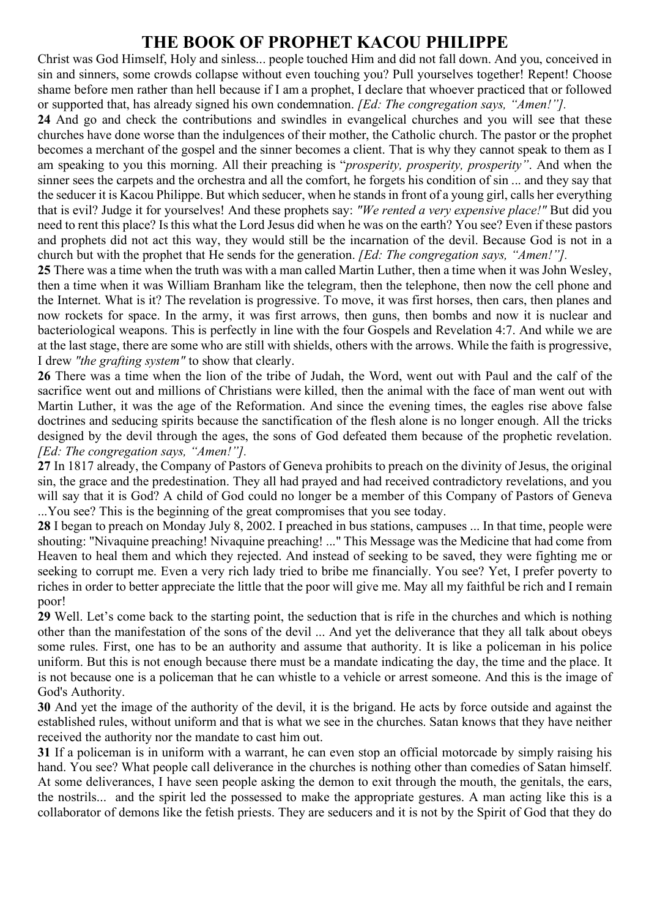Christ was God Himself, Holy and sinless... people touched Him and did not fall down. And you, conceived in sin and sinners, some crowds collapse without even touching you? Pull yourselves together! Repent! Choose shame before men rather than hell because if I am a prophet, I declare that whoever practiced that or followed or supported that, has already signed his own condemnation. *[Ed: The congregation says, "Amen!"].*

**24** And go and check the contributions and swindles in evangelical churches and you will see that these churches have done worse than the indulgences of their mother, the Catholic church. The pastor or the prophet becomes a merchant of the gospel and the sinner becomes a client. That is why they cannot speak to them as I am speaking to you this morning. All their preaching is "*prosperity, prosperity, prosperity"*. And when the sinner sees the carpets and the orchestra and all the comfort, he forgets his condition of sin ... and they say that the seducer it is Kacou Philippe. But which seducer, when he stands in front of a young girl, calls her everything that is evil? Judge it for yourselves! And these prophets say: *"We rented a very expensive place!"* But did you need to rent this place? Is this what the Lord Jesus did when he was on the earth? You see? Even if these pastors and prophets did not act this way, they would still be the incarnation of the devil. Because God is not in a church but with the prophet that He sends for the generation. *[Ed: The congregation says, "Amen!"].*

**25** There was a time when the truth was with a man called Martin Luther, then a time when it was John Wesley, then a time when it was William Branham like the telegram, then the telephone, then now the cell phone and the Internet. What is it? The revelation is progressive. To move, it was first horses, then cars, then planes and now rockets for space. In the army, it was first arrows, then guns, then bombs and now it is nuclear and bacteriological weapons. This is perfectly in line with the four Gospels and Revelation 4:7. And while we are at the last stage, there are some who are still with shields, others with the arrows. While the faith is progressive, I drew *"the grafting system"* to show that clearly.

**26** There was a time when the lion of the tribe of Judah, the Word, went out with Paul and the calf of the sacrifice went out and millions of Christians were killed, then the animal with the face of man went out with Martin Luther, it was the age of the Reformation. And since the evening times, the eagles rise above false doctrines and seducing spirits because the sanctification of the flesh alone is no longer enough. All the tricks designed by the devil through the ages, the sons of God defeated them because of the prophetic revelation. *[Ed: The congregation says, "Amen!"].*

**27** In 1817 already, the Company of Pastors of Geneva prohibits to preach on the divinity of Jesus, the original sin, the grace and the predestination. They all had prayed and had received contradictory revelations, and you will say that it is God? A child of God could no longer be a member of this Company of Pastors of Geneva ...You see? This is the beginning of the great compromises that you see today.

**28** I began to preach on Monday July 8, 2002. I preached in bus stations, campuses ... In that time, people were shouting: "Nivaquine preaching! Nivaquine preaching! ..." This Message was the Medicine that had come from Heaven to heal them and which they rejected. And instead of seeking to be saved, they were fighting me or seeking to corrupt me. Even a very rich lady tried to bribe me financially. You see? Yet, I prefer poverty to riches in order to better appreciate the little that the poor will give me. May all my faithful be rich and I remain poor!

**29** Well. Let's come back to the starting point, the seduction that is rife in the churches and which is nothing other than the manifestation of the sons of the devil ... And yet the deliverance that they all talk about obeys some rules. First, one has to be an authority and assume that authority. It is like a policeman in his police uniform. But this is not enough because there must be a mandate indicating the day, the time and the place. It is not because one is a policeman that he can whistle to a vehicle or arrest someone. And this is the image of God's Authority.

**30** And yet the image of the authority of the devil, it is the brigand. He acts by force outside and against the established rules, without uniform and that is what we see in the churches. Satan knows that they have neither received the authority nor the mandate to cast him out.

**31** If a policeman is in uniform with a warrant, he can even stop an official motorcade by simply raising his hand. You see? What people call deliverance in the churches is nothing other than comedies of Satan himself. At some deliverances, I have seen people asking the demon to exit through the mouth, the genitals, the ears, the nostrils... and the spirit led the possessed to make the appropriate gestures. A man acting like this is a collaborator of demons like the fetish priests. They are seducers and it is not by the Spirit of God that they do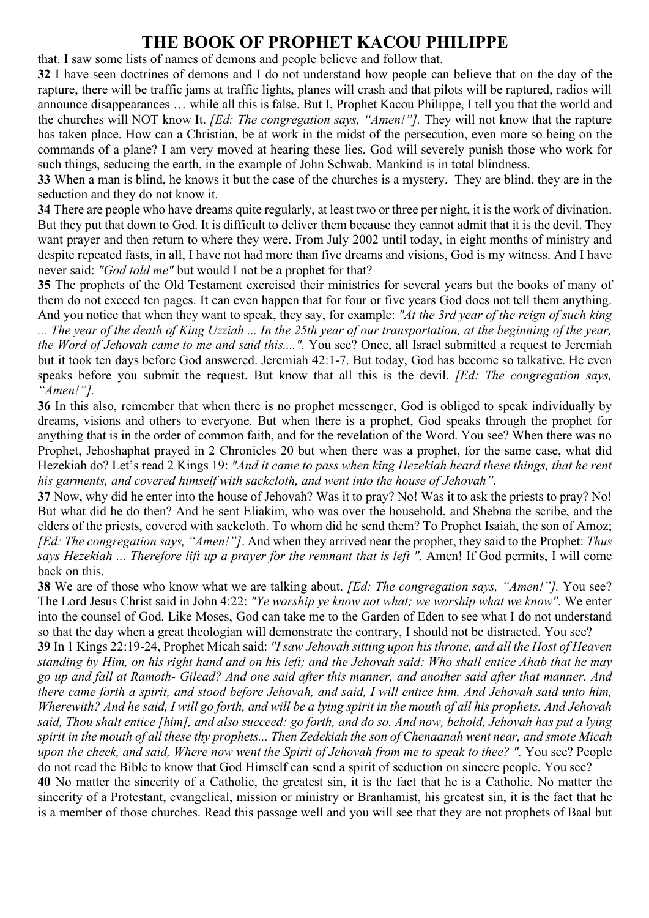that. I saw some lists of names of demons and people believe and follow that.

**32** I have seen doctrines of demons and I do not understand how people can believe that on the day of the rapture, there will be traffic jams at traffic lights, planes will crash and that pilots will be raptured, radios will announce disappearances … while all this is false. But I, Prophet Kacou Philippe, I tell you that the world and the churches will NOT know It. *[Ed: The congregation says, "Amen!"].* They will not know that the rapture has taken place. How can a Christian, be at work in the midst of the persecution, even more so being on the commands of a plane? I am very moved at hearing these lies. God will severely punish those who work for such things, seducing the earth, in the example of John Schwab. Mankind is in total blindness.

**33** When a man is blind, he knows it but the case of the churches is a mystery. They are blind, they are in the seduction and they do not know it.

**34** There are people who have dreams quite regularly, at least two or three per night, it is the work of divination. But they put that down to God. It is difficult to deliver them because they cannot admit that it is the devil. They want prayer and then return to where they were. From July 2002 until today, in eight months of ministry and despite repeated fasts, in all, I have not had more than five dreams and visions, God is my witness. And I have never said: *"God told me"* but would I not be a prophet for that?

**35** The prophets of the Old Testament exercised their ministries for several years but the books of many of them do not exceed ten pages. It can even happen that for four or five years God does not tell them anything. And you notice that when they want to speak, they say, for example: *"At the 3rd year of the reign of such king ... The year of the death of King Uzziah ... In the 25th year of our transportation, at the beginning of the year,* 

*the Word of Jehovah came to me and said this....".* You see? Once, all Israel submitted a request to Jeremiah but it took ten days before God answered. Jeremiah 42:1-7. But today, God has become so talkative. He even speaks before you submit the request. But know that all this is the devil. *[Ed: The congregation says, "Amen!"].*

**36** In this also, remember that when there is no prophet messenger, God is obliged to speak individually by dreams, visions and others to everyone. But when there is a prophet, God speaks through the prophet for anything that is in the order of common faith, and for the revelation of the Word. You see? When there was no Prophet, Jehoshaphat prayed in 2 Chronicles 20 but when there was a prophet, for the same case, what did Hezekiah do? Let's read 2 Kings 19: *"And it came to pass when king Hezekiah heard these things, that he rent his garments, and covered himself with sackcloth, and went into the house of Jehovah".* 

**37** Now, why did he enter into the house of Jehovah? Was it to pray? No! Was it to ask the priests to pray? No! But what did he do then? And he sent Eliakim, who was over the household, and Shebna the scribe, and the elders of the priests, covered with sackcloth. To whom did he send them? To Prophet Isaiah, the son of Amoz; *[Ed: The congregation says, "Amen!"]*. And when they arrived near the prophet, they said to the Prophet: *Thus says Hezekiah ... Therefore lift up a prayer for the remnant that is left "*. Amen! If God permits, I will come back on this.

**38** We are of those who know what we are talking about. *[Ed: The congregation says, "Amen!"].* You see? The Lord Jesus Christ said in John 4:22: *"Ye worship ye know not what; we worship what we know"*. We enter into the counsel of God. Like Moses, God can take me to the Garden of Eden to see what I do not understand so that the day when a great theologian will demonstrate the contrary, I should not be distracted. You see?

**39** In 1 Kings 22:19-24, Prophet Micah said: *"I saw Jehovah sitting upon his throne, and all the Host of Heaven standing by Him, on his right hand and on his left; and the Jehovah said: Who shall entice Ahab that he may go up and fall at Ramoth- Gilead? And one said after this manner, and another said after that manner. And there came forth a spirit, and stood before Jehovah, and said, I will entice him. And Jehovah said unto him, Wherewith? And he said, I will go forth, and will be a lying spirit in the mouth of all his prophets. And Jehovah said, Thou shalt entice [him], and also succeed: go forth, and do so. And now, behold, Jehovah has put a lying spirit in the mouth of all these thy prophets... Then Zedekiah the son of Chenaanah went near, and smote Micah upon the cheek, and said, Where now went the Spirit of Jehovah from me to speak to thee? ". You see? People* do not read the Bible to know that God Himself can send a spirit of seduction on sincere people. You see?

**40** No matter the sincerity of a Catholic, the greatest sin, it is the fact that he is a Catholic. No matter the sincerity of a Protestant, evangelical, mission or ministry or Branhamist, his greatest sin, it is the fact that he is a member of those churches. Read this passage well and you will see that they are not prophets of Baal but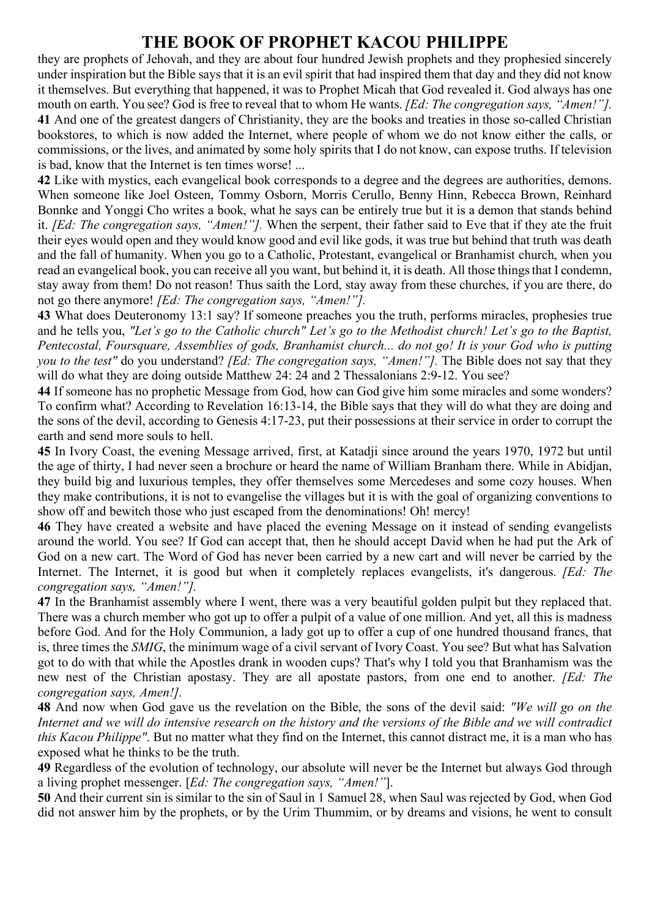they are prophets of Jehovah, and they are about four hundred Jewish prophets and they prophesied sincerely under inspiration but the Bible says that it is an evil spirit that had inspired them that day and they did not know it themselves. But everything that happened, it was to Prophet Micah that God revealed it. God always has one mouth on earth. You see? God is free to reveal that to whom He wants. *[Ed: The congregation says, "Amen!"].*  **41** And one of the greatest dangers of Christianity, they are the books and treaties in those so-called Christian bookstores, to which is now added the Internet, where people of whom we do not know either the calls, or commissions, or the lives, and animated by some holy spirits that I do not know, can expose truths. If television is bad, know that the Internet is ten times worse! ...

**42** Like with mystics, each evangelical book corresponds to a degree and the degrees are authorities, demons. When someone like Joel Osteen, Tommy Osborn, Morris Cerullo, Benny Hinn, Rebecca Brown, Reinhard Bonnke and Yonggi Cho writes a book, what he says can be entirely true but it is a demon that stands behind it. *[Ed: The congregation says, "Amen!"].* When the serpent, their father said to Eve that if they ate the fruit their eyes would open and they would know good and evil like gods, it was true but behind that truth was death and the fall of humanity. When you go to a Catholic, Protestant, evangelical or Branhamist church, when you read an evangelical book, you can receive all you want, but behind it, it is death. All those things that I condemn, stay away from them! Do not reason! Thus saith the Lord, stay away from these churches, if you are there, do not go there anymore! *[Ed: The congregation says, "Amen!"].* 

**43** What does Deuteronomy 13:1 say? If someone preaches you the truth, performs miracles, prophesies true and he tells you, *"Let's go to the Catholic church" Let's go to the Methodist church! Let's go to the Baptist, Pentecostal, Foursquare, Assemblies of gods, Branhamist church... do not go! It is your God who is putting you to the test"* do you understand? *[Ed: The congregation says, "Amen!"].* The Bible does not say that they will do what they are doing outside Matthew 24: 24 and 2 Thessalonians 2:9-12. You see?

**44** If someone has no prophetic Message from God, how can God give him some miracles and some wonders? To confirm what? According to Revelation 16:13-14, the Bible says that they will do what they are doing and the sons of the devil, according to Genesis 4:17-23, put their possessions at their service in order to corrupt the earth and send more souls to hell.

**45** In Ivory Coast, the evening Message arrived, first, at Katadji since around the years 1970, 1972 but until the age of thirty, I had never seen a brochure or heard the name of William Branham there. While in Abidjan, they build big and luxurious temples, they offer themselves some Mercedeses and some cozy houses. When they make contributions, it is not to evangelise the villages but it is with the goal of organizing conventions to show off and bewitch those who just escaped from the denominations! Oh! mercy!

**46** They have created a website and have placed the evening Message on it instead of sending evangelists around the world. You see? If God can accept that, then he should accept David when he had put the Ark of God on a new cart. The Word of God has never been carried by a new cart and will never be carried by the Internet. The Internet, it is good but when it completely replaces evangelists, it's dangerous. *[Ed: The congregation says, "Amen!"].* 

**47** In the Branhamist assembly where I went, there was a very beautiful golden pulpit but they replaced that. There was a church member who got up to offer a pulpit of a value of one million. And yet, all this is madness before God. And for the Holy Communion, a lady got up to offer a cup of one hundred thousand francs, that is, three times the *SMIG*, the minimum wage of a civil servant of Ivory Coast. You see? But what has Salvation got to do with that while the Apostles drank in wooden cups? That's why I told you that Branhamism was the new nest of the Christian apostasy. They are all apostate pastors, from one end to another. *[Ed: The congregation says, Amen!].* 

**48** And now when God gave us the revelation on the Bible, the sons of the devil said: *"We will go on the Internet and we will do intensive research on the history and the versions of the Bible and we will contradict this Kacou Philippe"*. But no matter what they find on the Internet, this cannot distract me, it is a man who has exposed what he thinks to be the truth.

**49** Regardless of the evolution of technology, our absolute will never be the Internet but always God through a living prophet messenger. [*Ed: The congregation says, "Amen!"*].

**50** And their current sin is similar to the sin of Saul in 1 Samuel 28, when Saul was rejected by God, when God did not answer him by the prophets, or by the Urim Thummim, or by dreams and visions, he went to consult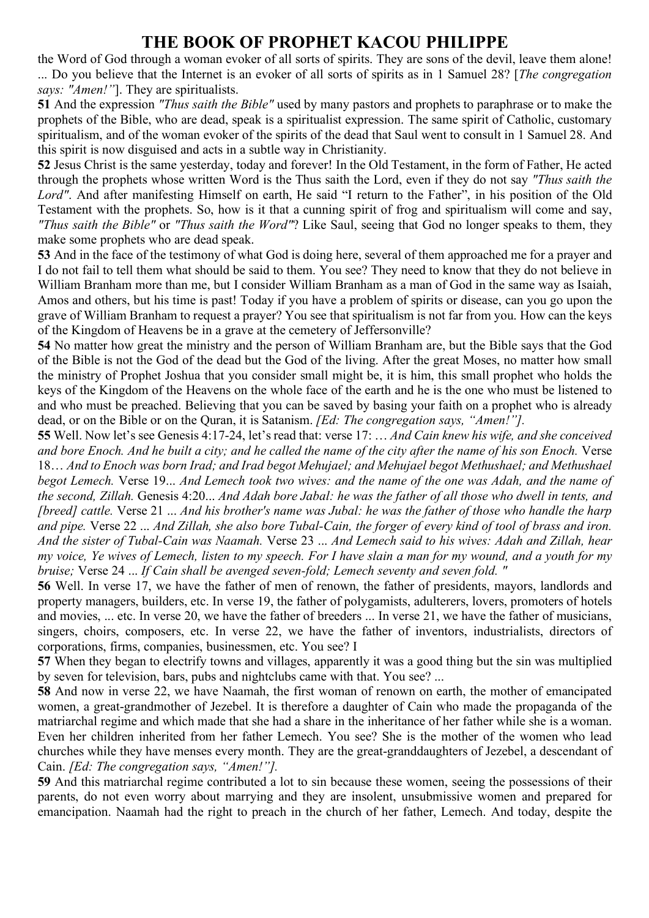the Word of God through a woman evoker of all sorts of spirits. They are sons of the devil, leave them alone! ... Do you believe that the Internet is an evoker of all sorts of spirits as in 1 Samuel 28? [*The congregation says: "Amen!"*]. They are spiritualists.

**51** And the expression *"Thus saith the Bible"* used by many pastors and prophets to paraphrase or to make the prophets of the Bible, who are dead, speak is a spiritualist expression. The same spirit of Catholic, customary spiritualism, and of the woman evoker of the spirits of the dead that Saul went to consult in 1 Samuel 28. And this spirit is now disguised and acts in a subtle way in Christianity.

**52** Jesus Christ is the same yesterday, today and forever! In the Old Testament, in the form of Father, He acted through the prophets whose written Word is the Thus saith the Lord, even if they do not say *"Thus saith the Lord"*. And after manifesting Himself on earth, He said "I return to the Father", in his position of the Old Testament with the prophets. So, how is it that a cunning spirit of frog and spiritualism will come and say, *"Thus saith the Bible"* or *"Thus saith the Word"*? Like Saul, seeing that God no longer speaks to them, they make some prophets who are dead speak.

**53** And in the face of the testimony of what God is doing here, several of them approached me for a prayer and I do not fail to tell them what should be said to them. You see? They need to know that they do not believe in William Branham more than me, but I consider William Branham as a man of God in the same way as Isaiah, Amos and others, but his time is past! Today if you have a problem of spirits or disease, can you go upon the grave of William Branham to request a prayer? You see that spiritualism is not far from you. How can the keys of the Kingdom of Heavens be in a grave at the cemetery of Jeffersonville?

**54** No matter how great the ministry and the person of William Branham are, but the Bible says that the God of the Bible is not the God of the dead but the God of the living. After the great Moses, no matter how small the ministry of Prophet Joshua that you consider small might be, it is him, this small prophet who holds the keys of the Kingdom of the Heavens on the whole face of the earth and he is the one who must be listened to and who must be preached. Believing that you can be saved by basing your faith on a prophet who is already dead, or on the Bible or on the Quran, it is Satanism. *[Ed: The congregation says, "Amen!"].* 

**55** Well. Now let's see Genesis 4:17-24, let's read that: verse 17: … *And Cain knew his wife, and she conceived and bore Enoch. And he built a city; and he called the name of the city after the name of his son Enoch.* Verse 18… *And to Enoch was born Irad; and Irad begot Mehujael; and Mehujael begot Methushael; and Methushael begot Lemech.* Verse 19... *And Lemech took two wives: and the name of the one was Adah, and the name of the second, Zillah.* Genesis 4:20... *And Adah bore Jabal: he was the father of all those who dwell in tents, and [breed] cattle.* Verse 21 ... *And his brother's name was Jubal: he was the father of those who handle the harp and pipe.* Verse 22 ... *And Zillah, she also bore Tubal-Cain, the forger of every kind of tool of brass and iron. And the sister of Tubal-Cain was Naamah.* Verse 23 ... *And Lemech said to his wives: Adah and Zillah, hear my voice, Ye wives of Lemech, listen to my speech. For I have slain a man for my wound, and a youth for my bruise;* Verse 24 ... *If Cain shall be avenged seven-fold; Lemech seventy and seven fold. "*

**56** Well. In verse 17, we have the father of men of renown, the father of presidents, mayors, landlords and property managers, builders, etc. In verse 19, the father of polygamists, adulterers, lovers, promoters of hotels and movies, ... etc. In verse 20, we have the father of breeders ... In verse 21, we have the father of musicians, singers, choirs, composers, etc. In verse 22, we have the father of inventors, industrialists, directors of corporations, firms, companies, businessmen, etc. You see? I

**57** When they began to electrify towns and villages, apparently it was a good thing but the sin was multiplied by seven for television, bars, pubs and nightclubs came with that. You see? ...

**58** And now in verse 22, we have Naamah, the first woman of renown on earth, the mother of emancipated women, a great-grandmother of Jezebel. It is therefore a daughter of Cain who made the propaganda of the matriarchal regime and which made that she had a share in the inheritance of her father while she is a woman. Even her children inherited from her father Lemech. You see? She is the mother of the women who lead churches while they have menses every month. They are the great-granddaughters of Jezebel, a descendant of Cain. *[Ed: The congregation says, "Amen!"].* 

**59** And this matriarchal regime contributed a lot to sin because these women, seeing the possessions of their parents, do not even worry about marrying and they are insolent, unsubmissive women and prepared for emancipation. Naamah had the right to preach in the church of her father, Lemech. And today, despite the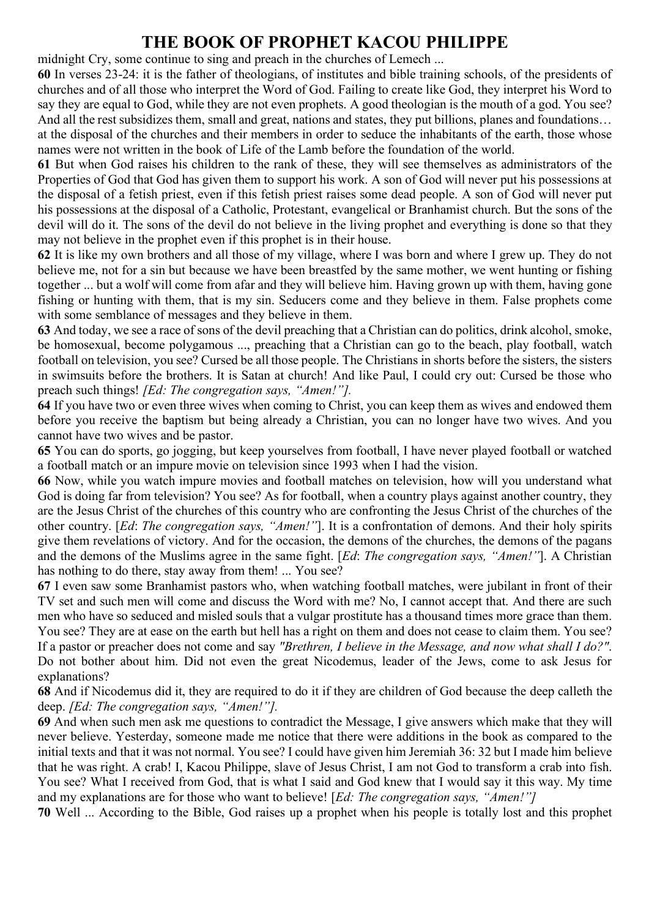midnight Cry, some continue to sing and preach in the churches of Lemech ...

**60** In verses 23-24: it is the father of theologians, of institutes and bible training schools, of the presidents of churches and of all those who interpret the Word of God. Failing to create like God, they interpret his Word to say they are equal to God, while they are not even prophets. A good theologian is the mouth of a god. You see? And all the rest subsidizes them, small and great, nations and states, they put billions, planes and foundations… at the disposal of the churches and their members in order to seduce the inhabitants of the earth, those whose names were not written in the book of Life of the Lamb before the foundation of the world.

**61** But when God raises his children to the rank of these, they will see themselves as administrators of the Properties of God that God has given them to support his work. A son of God will never put his possessions at the disposal of a fetish priest, even if this fetish priest raises some dead people. A son of God will never put his possessions at the disposal of a Catholic, Protestant, evangelical or Branhamist church. But the sons of the devil will do it. The sons of the devil do not believe in the living prophet and everything is done so that they may not believe in the prophet even if this prophet is in their house.

**62** It is like my own brothers and all those of my village, where I was born and where I grew up. They do not believe me, not for a sin but because we have been breastfed by the same mother, we went hunting or fishing together ... but a wolf will come from afar and they will believe him. Having grown up with them, having gone fishing or hunting with them, that is my sin. Seducers come and they believe in them. False prophets come with some semblance of messages and they believe in them.

**63** And today, we see a race of sons of the devil preaching that a Christian can do politics, drink alcohol, smoke, be homosexual, become polygamous ..., preaching that a Christian can go to the beach, play football, watch football on television, you see? Cursed be all those people. The Christians in shorts before the sisters, the sisters in swimsuits before the brothers. It is Satan at church! And like Paul, I could cry out: Cursed be those who preach such things! *[Ed: The congregation says, "Amen!"].* 

**64** If you have two or even three wives when coming to Christ, you can keep them as wives and endowed them before you receive the baptism but being already a Christian, you can no longer have two wives. And you cannot have two wives and be pastor.

**65** You can do sports, go jogging, but keep yourselves from football, I have never played football or watched a football match or an impure movie on television since 1993 when I had the vision.

**66** Now, while you watch impure movies and football matches on television, how will you understand what God is doing far from television? You see? As for football, when a country plays against another country, they are the Jesus Christ of the churches of this country who are confronting the Jesus Christ of the churches of the other country. [*Ed*: *The congregation says, "Amen!"*]. It is a confrontation of demons. And their holy spirits give them revelations of victory. And for the occasion, the demons of the churches, the demons of the pagans and the demons of the Muslims agree in the same fight. [*Ed*: *The congregation says, "Amen!"*]. A Christian has nothing to do there, stay away from them! ... You see?

**67** I even saw some Branhamist pastors who, when watching football matches, were jubilant in front of their TV set and such men will come and discuss the Word with me? No, I cannot accept that. And there are such men who have so seduced and misled souls that a vulgar prostitute has a thousand times more grace than them. You see? They are at ease on the earth but hell has a right on them and does not cease to claim them. You see? If a pastor or preacher does not come and say *"Brethren, I believe in the Message, and now what shall I do?"*. Do not bother about him. Did not even the great Nicodemus, leader of the Jews, come to ask Jesus for explanations?

**68** And if Nicodemus did it, they are required to do it if they are children of God because the deep calleth the deep. *[Ed: The congregation says, "Amen!"].* 

**69** And when such men ask me questions to contradict the Message, I give answers which make that they will never believe. Yesterday, someone made me notice that there were additions in the book as compared to the initial texts and that it was not normal. You see? I could have given him Jeremiah 36: 32 but I made him believe that he was right. A crab! I, Kacou Philippe, slave of Jesus Christ, I am not God to transform a crab into fish. You see? What I received from God, that is what I said and God knew that I would say it this way. My time and my explanations are for those who want to believe! [*Ed: The congregation says, "Amen!"]* 

**70** Well ... According to the Bible, God raises up a prophet when his people is totally lost and this prophet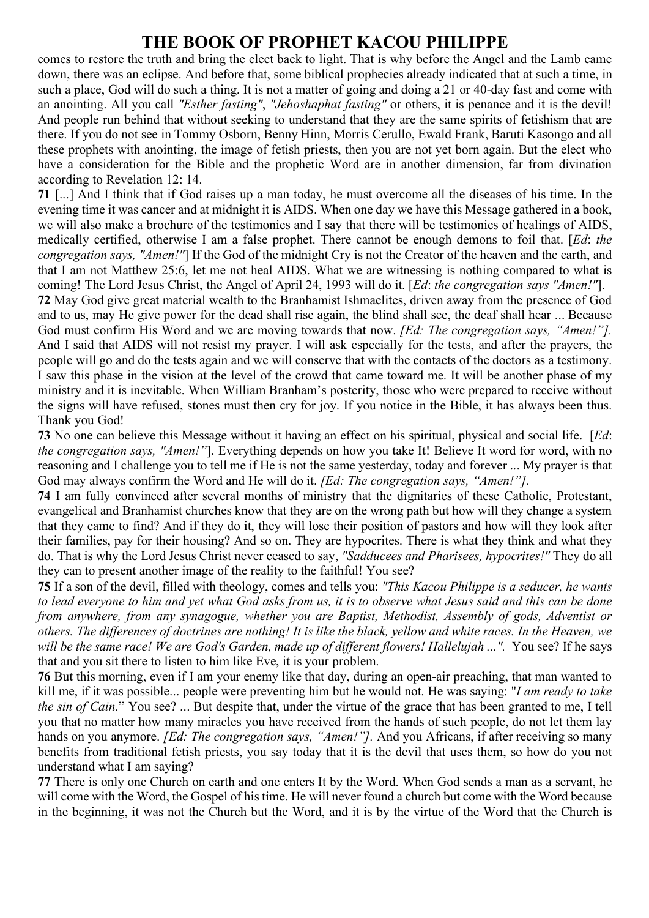comes to restore the truth and bring the elect back to light. That is why before the Angel and the Lamb came down, there was an eclipse. And before that, some biblical prophecies already indicated that at such a time, in such a place, God will do such a thing. It is not a matter of going and doing a 21 or 40-day fast and come with an anointing. All you call *"Esther fasting"*, *"Jehoshaphat fasting"* or others, it is penance and it is the devil! And people run behind that without seeking to understand that they are the same spirits of fetishism that are there. If you do not see in Tommy Osborn, Benny Hinn, Morris Cerullo, Ewald Frank, Baruti Kasongo and all these prophets with anointing, the image of fetish priests, then you are not yet born again. But the elect who have a consideration for the Bible and the prophetic Word are in another dimension, far from divination according to Revelation 12: 14.

**71** [...] And I think that if God raises up a man today, he must overcome all the diseases of his time. In the evening time it was cancer and at midnight it is AIDS. When one day we have this Message gathered in a book, we will also make a brochure of the testimonies and I say that there will be testimonies of healings of AIDS, medically certified, otherwise I am a false prophet. There cannot be enough demons to foil that. [*Ed*: *the congregation says, "Amen!"*] If the God of the midnight Cry is not the Creator of the heaven and the earth, and that I am not Matthew 25:6, let me not heal AIDS. What we are witnessing is nothing compared to what is coming! The Lord Jesus Christ, the Angel of April 24, 1993 will do it. [*Ed*: *the congregation says "Amen!"*].

**72** May God give great material wealth to the Branhamist Ishmaelites, driven away from the presence of God and to us, may He give power for the dead shall rise again, the blind shall see, the deaf shall hear ... Because God must confirm His Word and we are moving towards that now. *[Ed: The congregation says, "Amen!"].*  And I said that AIDS will not resist my prayer. I will ask especially for the tests, and after the prayers, the people will go and do the tests again and we will conserve that with the contacts of the doctors as a testimony. I saw this phase in the vision at the level of the crowd that came toward me. It will be another phase of my ministry and it is inevitable. When William Branham's posterity, those who were prepared to receive without the signs will have refused, stones must then cry for joy. If you notice in the Bible, it has always been thus. Thank you God!

**73** No one can believe this Message without it having an effect on his spiritual, physical and social life. [*Ed*: *the congregation says, "Amen!"*]. Everything depends on how you take It! Believe It word for word, with no reasoning and I challenge you to tell me if He is not the same yesterday, today and forever ... My prayer is that God may always confirm the Word and He will do it. *[Ed: The congregation says, "Amen!"].* 

**74** I am fully convinced after several months of ministry that the dignitaries of these Catholic, Protestant, evangelical and Branhamist churches know that they are on the wrong path but how will they change a system that they came to find? And if they do it, they will lose their position of pastors and how will they look after their families, pay for their housing? And so on. They are hypocrites. There is what they think and what they do. That is why the Lord Jesus Christ never ceased to say, *"Sadducees and Pharisees, hypocrites!"* They do all they can to present another image of the reality to the faithful! You see?

**75** If a son of the devil, filled with theology, comes and tells you: *"This Kacou Philippe is a seducer, he wants to lead everyone to him and yet what God asks from us, it is to observe what Jesus said and this can be done from anywhere, from any synagogue, whether you are Baptist, Methodist, Assembly of gods, Adventist or others. The differences of doctrines are nothing! It is like the black, yellow and white races. In the Heaven, we will be the same race! We are God's Garden, made up of different flowers! Hallelujah ...".* You see? If he says that and you sit there to listen to him like Eve, it is your problem.

**76** But this morning, even if I am your enemy like that day, during an open-air preaching, that man wanted to kill me, if it was possible... people were preventing him but he would not. He was saying: "*I am ready to take the sin of Cain.*" You see? ... But despite that, under the virtue of the grace that has been granted to me, I tell you that no matter how many miracles you have received from the hands of such people, do not let them lay hands on you anymore. *[Ed: The congregation says, "Amen!"].* And you Africans, if after receiving so many benefits from traditional fetish priests, you say today that it is the devil that uses them, so how do you not understand what I am saying?

**77** There is only one Church on earth and one enters It by the Word. When God sends a man as a servant, he will come with the Word, the Gospel of his time. He will never found a church but come with the Word because in the beginning, it was not the Church but the Word, and it is by the virtue of the Word that the Church is